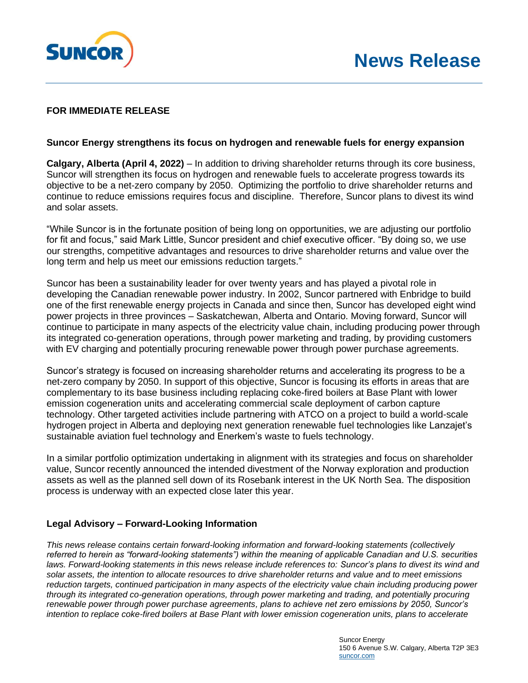

## **FOR IMMEDIATE RELEASE**

## **Suncor Energy strengthens its focus on hydrogen and renewable fuels for energy expansion**

**Calgary, Alberta (April 4, 2022)** – In addition to driving shareholder returns through its core business, Suncor will strengthen its focus on hydrogen and renewable fuels to accelerate progress towards its objective to be a net-zero company by 2050. Optimizing the portfolio to drive shareholder returns and continue to reduce emissions requires focus and discipline. Therefore, Suncor plans to divest its wind and solar assets.

"While Suncor is in the fortunate position of being long on opportunities, we are adjusting our portfolio for fit and focus," said Mark Little, Suncor president and chief executive officer. "By doing so, we use our strengths, competitive advantages and resources to drive shareholder returns and value over the long term and help us meet our emissions reduction targets."

Suncor has been a sustainability leader for over twenty years and has played a pivotal role in developing the Canadian renewable power industry. In 2002, Suncor partnered with Enbridge to build one of the first renewable energy projects in Canada and since then, Suncor has developed eight wind power projects in three provinces – Saskatchewan, Alberta and Ontario. Moving forward, Suncor will continue to participate in many aspects of the electricity value chain, including producing power through its integrated co-generation operations, through power marketing and trading, by providing customers with EV charging and potentially procuring renewable power through power purchase agreements.

Suncor's strategy is focused on increasing shareholder returns and accelerating its progress to be a net-zero company by 2050. In support of this objective, Suncor is focusing its efforts in areas that are complementary to its base business including replacing coke-fired boilers at Base Plant with lower emission cogeneration units and accelerating commercial scale deployment of carbon capture technology. Other targeted activities include partnering with ATCO on a project to build a world-scale hydrogen project in Alberta and deploying next generation renewable fuel technologies like Lanzajet's sustainable aviation fuel technology and Enerkem's waste to fuels technology.

In a similar portfolio optimization undertaking in alignment with its strategies and focus on shareholder value, Suncor recently announced the intended divestment of the Norway exploration and production assets as well as the planned sell down of its Rosebank interest in the UK North Sea. The disposition process is underway with an expected close later this year.

## **Legal Advisory – Forward-Looking Information**

*This news release contains certain forward-looking information and forward-looking statements (collectively referred to herein as "forward-looking statements") within the meaning of applicable Canadian and U.S. securities*  laws. Forward-looking statements in this news release include references to: Suncor's plans to divest its wind and *solar assets, the intention to allocate resources to drive shareholder returns and value and to meet emissions reduction targets, continued participation in many aspects of the electricity value chain including producing power through its integrated co-generation operations, through power marketing and trading, and potentially procuring renewable power through power purchase agreements, plans to achieve net zero emissions by 2050, Suncor's intention to replace coke-fired boilers at Base Plant with lower emission cogeneration units, plans to accelerate*